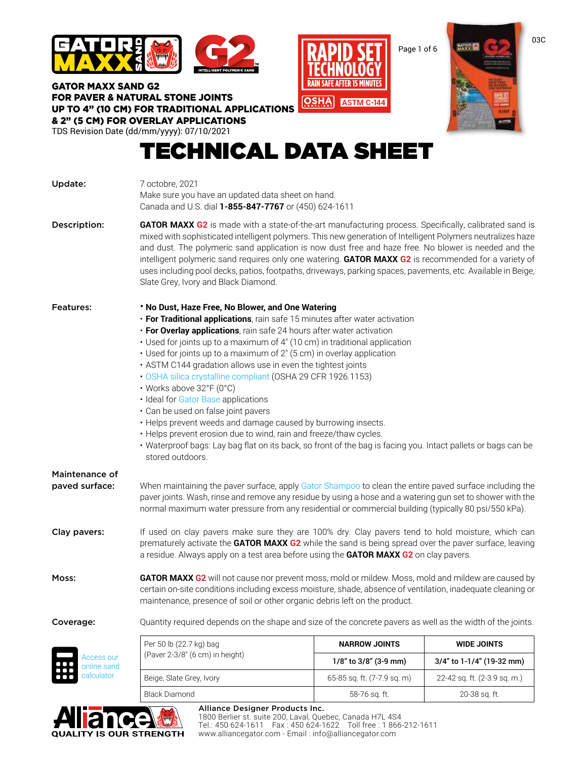

FOR PAVER & NATURAL STONE JOINTS

& 2" (5 CM) FOR OVERLAY APPLICATIONS

GATOR MAXX SAND G2



Page 1 of 6



03C

# TDS Revision Date (dd/mm/yyyy): 07/10/2021 TECHNICAL DATA SHEET

| Update:                          | 7 octobre, 2021<br>Make sure you have an updated data sheet on hand.<br>Canada and U.S. dial 1-855-847-7767 or (450) 624-1611                                                                                                                                                                                                                                                                                                                                                                                                                                                                                                                                                                                                                                                                                                                                                        |                             |                              |  |  |
|----------------------------------|--------------------------------------------------------------------------------------------------------------------------------------------------------------------------------------------------------------------------------------------------------------------------------------------------------------------------------------------------------------------------------------------------------------------------------------------------------------------------------------------------------------------------------------------------------------------------------------------------------------------------------------------------------------------------------------------------------------------------------------------------------------------------------------------------------------------------------------------------------------------------------------|-----------------------------|------------------------------|--|--|
| Description:                     | GATOR MAXX G2 is made with a state-of-the-art manufacturing process. Specifically, calibrated sand is<br>mixed with sophisticated intelligent polymers. This new generation of Intelligent Polymers neutralizes haze<br>and dust. The polymeric sand application is now dust free and haze free. No blower is needed and the<br>intelligent polymeric sand requires only one watering. GATOR MAXX G2 is recommended for a variety of<br>uses including pool decks, patios, footpaths, driveways, parking spaces, pavements, etc. Available in Beige,<br>Slate Grey, Ivory and Black Diamond.                                                                                                                                                                                                                                                                                         |                             |                              |  |  |
| <b>Features:</b>                 | . No Dust, Haze Free, No Blower, and One Watering<br>• For Traditional applications, rain safe 15 minutes after water activation<br>• For Overlay applications, rain safe 24 hours after water activation<br>• Used for joints up to a maximum of 4" (10 cm) in traditional application<br>• Used for joints up to a maximum of 2" (5 cm) in overlay application<br>• ASTM C144 gradation allows use in even the tightest joints<br>· OSHA silica crystalline compliant (OSHA 29 CFR 1926.1153)<br>• Works above 32°F (0°C)<br>· Ideal for Gator Base applications<br>· Can be used on false joint pavers<br>• Helps prevent weeds and damage caused by burrowing insects.<br>• Helps prevent erosion due to wind, rain and freeze/thaw cycles.<br>• Waterproof bags: Lay bag flat on its back, so front of the bag is facing you. Intact pallets or bags can be<br>stored outdoors. |                             |                              |  |  |
| Maintenance of<br>paved surface: | When maintaining the paver surface, apply Gator Shampoo to clean the entire paved surface including the<br>paver joints. Wash, rinse and remove any residue by using a hose and a watering gun set to shower with the<br>normal maximum water pressure from any residential or commercial building (typically 80 psi/550 kPa).                                                                                                                                                                                                                                                                                                                                                                                                                                                                                                                                                       |                             |                              |  |  |
| Clay pavers:                     | If used on clay pavers make sure they are 100% dry. Clay pavers tend to hold moisture, which can<br>prematurely activate the GATOR MAXX G2 while the sand is being spread over the paver surface, leaving<br>a residue. Always apply on a test area before using the GATOR MAXX G2 on clay pavers.                                                                                                                                                                                                                                                                                                                                                                                                                                                                                                                                                                                   |                             |                              |  |  |
| Moss:                            | <b>GATOR MAXX G2</b> will not cause nor prevent moss, mold or mildew. Moss, mold and mildew are caused by<br>certain on-site conditions including excess moisture, shade, absence of ventilation, inadequate cleaning or<br>maintenance, presence of soil or other organic debris left on the product.                                                                                                                                                                                                                                                                                                                                                                                                                                                                                                                                                                               |                             |                              |  |  |
| Coverage:                        | Quantity required depends on the shape and size of the concrete pavers as well as the width of the joints.                                                                                                                                                                                                                                                                                                                                                                                                                                                                                                                                                                                                                                                                                                                                                                           |                             |                              |  |  |
|                                  | Per 50 lb (22.7 kg) bag                                                                                                                                                                                                                                                                                                                                                                                                                                                                                                                                                                                                                                                                                                                                                                                                                                                              | <b>NARROW JOINTS</b>        | <b>WIDE JOINTS</b>           |  |  |
| <b>Access our</b><br>online sand | (Paver 2-3/8" (6 cm) in height)                                                                                                                                                                                                                                                                                                                                                                                                                                                                                                                                                                                                                                                                                                                                                                                                                                                      | 1/8" to 3/8" (3-9 mm)       | 3/4" to 1-1/4" (19-32 mm)    |  |  |
| calculator                       | Beige, Slate Grey, Ivory                                                                                                                                                                                                                                                                                                                                                                                                                                                                                                                                                                                                                                                                                                                                                                                                                                                             | 65-85 sq. ft. (7-7.9 sq. m) | 22-42 sq. ft. (2-3.9 sq. m.) |  |  |
|                                  | <b>Black Diamond</b>                                                                                                                                                                                                                                                                                                                                                                                                                                                                                                                                                                                                                                                                                                                                                                                                                                                                 | 58-76 sq. ft.               | 20-38 sq. ft.                |  |  |



#### Alliance Designer Products Inc.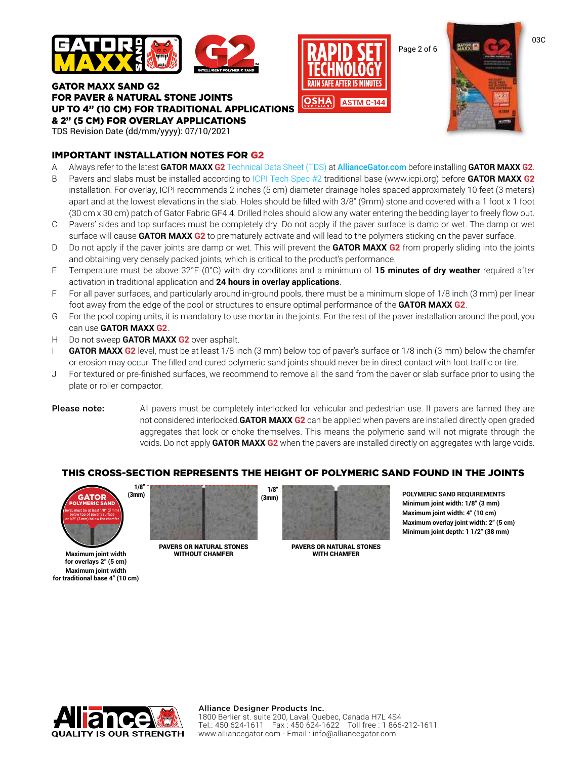

FOR PAVER & NATURAL STONE JOINTS

GATOR MAXX SAND G2



Page 2 of 6



03C

### [UP TO 4" \(10 CM\) FOR TRADITIONAL APPLICATIONS](https://alliancegator.com/gator-jointing-material/gator-maxx-g2/)  & 2" (5 CM) FOR OVERLAY APPLICATIONS TDS Revision Date (dd/mm/yyyy): 07/10/2021

## IMPORTANT INSTALLATION NOTES FOR G2

- A Always refer to the latest **GATOR MAXX G2** [Technical Data Sheet \(TDS\) a](https://alliancegator.com/tds/)t [AllianceGator.com](https://alliancegator.com) before installing **GATOR MAXX G2**.
- B Pavers and slabs must be installed according to [ICPI Tech Spec #2](https://static1.squarespace.com/static/5e70c7ccdc975f39a6d7b95f/t/5ef5066159be8a200d0571f7/1593116260875/Tech+Spec+2+Construction.pdf) traditional base [\(www.icpi.org\) be](http://www.icpi.org)fore **GATOR MAXX G2** installation. For overlay, ICPI recommends 2 inches (5 cm) diameter drainage holes spaced approximately 10 feet (3 meters) apart and at the lowest elevations in the slab. Holes should be filled with 3/8'' (9mm) stone and covered with a 1 foot x 1 foot (30 cm x 30 cm) patch of Gator Fabric GF4.4. Drilled holes should allow any water entering the bedding layer to freely flow out.
- C Pavers' sides and top surfaces must be completely dry. Do not apply if the paver surface is damp or wet. The damp or wet surface will cause **GATOR MAXX G2** to prematurely activate and will lead to the polymers sticking on the paver surface.
- D Do not apply if the paver joints are damp or wet. This will prevent the **GATOR MAXX G2** from properly sliding into the joints and obtaining very densely packed joints, which is critical to the product's performance.
- E Temperature must be above 32°F (0°C) with dry conditions and a minimum of **15 minutes of dry weather** required after activation in traditional application and **24 hours in overlay applications**.
- F For all paver surfaces, and particularly around in-ground pools, there must be a minimum slope of 1/8 inch (3 mm) per linear foot away from the edge of the pool or structures to ensure optimal performance of the **GATOR MAXX G2**.
- G For the pool coping units, it is mandatory to use mortar in the joints. For the rest of the paver installation around the pool, you can use **GATOR MAXX G2**.
- H Do not sweep **GATOR MAXX G2** over asphalt.

1/8"

- I **GATOR MAXX G2** level, must be at least 1/8 inch (3 mm) below top of paver's surface or 1/8 inch (3 mm) below the chamfer or erosion may occur. The filled and cured polymeric sand joints should never be in direct contact with foot traffic or tire.
- J For textured or pre-finished surfaces, we recommend to remove all the sand from the paver or slab surface prior to using the plate or roller compactor.
- **Please note:** All pavers must be completely interlocked for vehicular and pedestrian use. If pavers are fanned they are not considered interlocked.**GATOR MAXX G2** can be applied when pavers are installed directly open graded aggregates that lock or choke themselves. This means the polymeric sand will not migrate through the voids. Do not apply **GATOR MAXX G2** when the pavers are installed directly on aggregates with large voids.

# THIS CROSS-SECTION REPRESENTS THE HEIGHT OF POLYMERIC SAND FOUND IN THE JOINTS



**Maximum joint width for overlays 2" (5 cm) Maximum joint width for traditional base 4" (10 cm)**

PAVERS OR NATURAL STONES WITHOUT CHAMFER



PAVERS OR NATURAL STONES WITH CHAMFER

**QUALITY IS OUR STRENGTH** 

#### Alliance Designer Products Inc. 1800 Berlier st. suite 200, Laval, Quebec, Canada H7L 4S4 Tel.: 450 624-1611 Fax : 450 624-1622 Toll free : 1 866-212-1611 [www.alliancegator.com - E](http://www.alliancegator.com)mail : [info@alliancegator.com](mailto:info@alliancegator.com)

**POLYMERIC SAND REQUIREMENTS Minimum joint width: 1/8" (3 mm) Maximum joint width: 4" (10 cm) Maximum overlay joint width: 2" (5 cm) Minimum joint depth: 1 1/2" (38 mm)**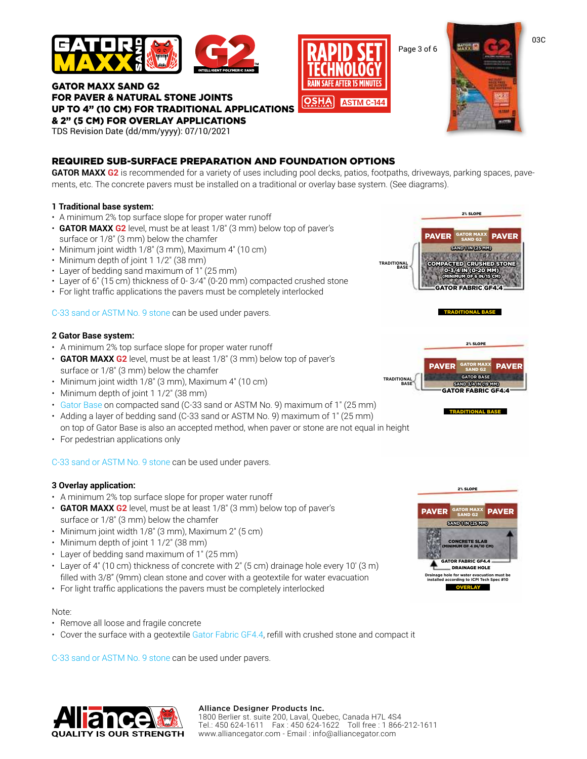

FOR PAVER & NATURAL STONE JOINTS

& 2" (5 CM) FOR OVERLAY APPLICATIONS TDS Revision Date (dd/mm/yyyy): 07/10/2021



Page 3 of 6



03C

# REQUIRED SUB-SURFACE PREPARATION AND FOUNDATION OPTIONS

GATOR MAXX G2 is recommended for a variety of uses including pool decks, patios, footpaths, driveways, parking spaces, pavements, etc. The concrete pavers must be installed on a traditional or overlay base system. (See diagrams).

### **1 Traditional base system:**

GATOR MAXX SAND G2

- A minimum 2% top surface slope for proper water runoff
- **GATOR MAXX G2** level, must be at least 1/8″ (3 mm) below top of paver's surface or 1/8″ (3 mm) below the chamfer
- Minimum joint width 1/8″ (3 mm), Maximum 4″ (10 cm)
- Minimum depth of joint 1 1/2" (38 mm)
- Layer of bedding sand maximum of 1″ (25 mm)
- Layer of 6″ (15 cm) thickness of 0- 3⁄4″ (0-20 mm) compacted crushed stone
- For light traffic applications the pavers must be completely interlocked

[C-33 sand or ASTM No. 9](https://www.youtube.com/embed/Q7_PSEQhB54) stone can be used under pavers.

### **2 Gator Base system:**

- A minimum 2% top surface slope for proper water runoff
- **GATOR MAXX G2** level, must be at least 1/8″ (3 mm) below top of paver's surface or 1/8″ (3 mm) below the chamfer
- Minimum joint width 1/8″ (3 mm), Maximum 4″ (10 cm)
- Minimum depth of joint 1 1/2" (38 mm)
- [Gator Base](https://alliancegator.com/gator-base/) on compacted sand (C-33 sand or ASTM No. 9) maximum of 1″ (25 mm)
- Adding a layer of bedding sand (C-33 sand or ASTM No. 9) maximum of 1" (25 mm) on top of Gator Base is also an accepted method, when paver or stone are not equal in height
- For pedestrian applications only

[C-33 sand or ASTM No. 9](https://www.youtube.com/embed/Q7_PSEQhB54) stone can be used under pavers.

### **3 Overlay application:**

- A minimum 2% top surface slope for proper water runoff
- **GATOR MAXX G2** level, must be at least 1/8″ (3 mm) below top of paver's surface or 1/8″ (3 mm) below the chamfer
- Minimum joint width 1/8" (3 mm), Maximum 2" (5 cm)
- Minimum depth of joint 1 1/2" (38 mm)
- Layer of bedding sand maximum of 1" (25 mm)
- Layer of 4″ (10 cm) thickness of concrete with 2″ (5 cm) drainage hole every 10′ (3 m) filled with 3/8'' (9mm) clean stone and cover with a geotextile for water evacuation
- For light traffic applications the pavers must be completely interlocked

### Note:

- Remove all loose and fragile concrete
- Cover the surface with a geotextil[e Gator Fabric GF4.4](https://alliancegator.com/gator-grids-fabrics/gator-fabric-gf4-4/), refill with crushed stone and compact it

[C-33 sand or ASTM No. 9](https://www.youtube.com/embed/Q7_PSEQhB54) stone can be used under pavers.



### Alliance Designer Products Inc.

1800 Berlier st. suite 200, Laval, Quebec, Canada H7L 4S4 Tel.: 450 624-1611 Fax : 450 624-1622 Toll free : 1 866-212-1611 [www.alliancegator.com - E](http://www.alliancegator.com)mail : [info@alliancegator.com](mailto:info@alliancegator.com)







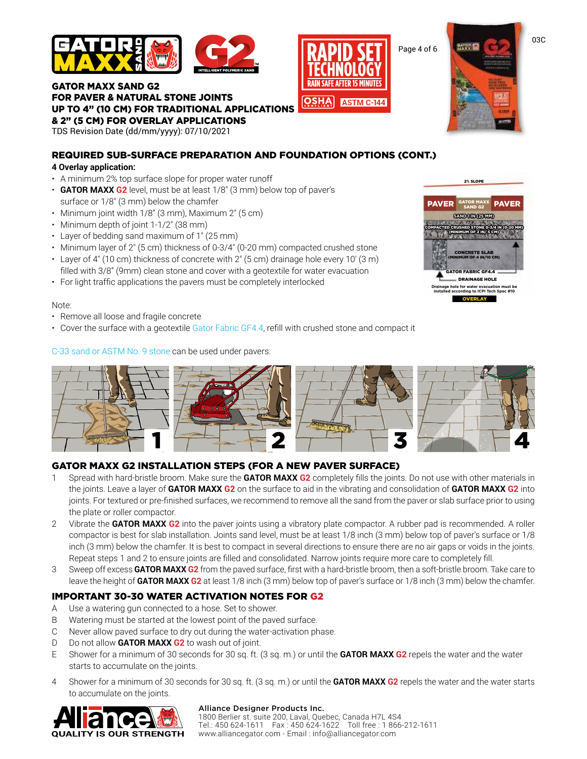

# GATOR MAXX SAND G2 FOR PAVER & NATURAL STONE JOINTS [UP TO 4" \(10 CM\) FOR TRADITIONAL APPLICATIONS](https://alliancegator.com/gator-jointing-material/gator-maxx-g2/)  & 2" (5 CM) FOR OVERLAY APPLICATIONS

TDS Revision Date (dd/mm/yyyy): 07/10/2021

# REQUIRED SUB-SURFACE PREPARATION AND FOUNDATION OPTIONS (CONT.)

### **4 Overlay application:**

- A minimum 2% top surface slope for proper water runoff
- **GATOR MAXX G2** level, must be at least 1/8″ (3 mm) below top of paver's surface or 1/8″ (3 mm) below the chamfer
- Minimum joint width 1/8" (3 mm), Maximum 2″ (5 cm)
- Minimum depth of joint 1-1/2″ (38 mm)
- Layer of bedding sand maximum of 1″ (25 mm)
- Minimum layer of 2″ (5 cm) thickness of 0-3/4″ (0-20 mm) compacted crushed stone
- Layer of 4″ (10 cm) thickness of concrete with 2″ (5 cm) drainage hole every 10′ (3 m) filled with 3/8'' (9mm) clean stone and cover with a geotextile for water evacuation
- For light traffic applications the pavers must be completely interlocked

### Note:

- Remove all loose and fragile concrete
- Cover the surface with a geotextile [Gator Fabric GF4.4](https://alliancegator.com/gator-grids-fabrics/gator-fabric-gf4-4/), refill with crushed stone and compact it

[C-33 sand or ASTM No. 9](https://www.youtube.com/embed/Q7_PSEQhB54) stone can be used under pavers.



### GATOR MAXX G2 INSTALLATION STEPS (FOR A NEW PAVER SURFACE)

- 1 Spread with hard-bristle broom. Make sure the **GATOR MAXX G2** completely fills the joints. Do not use with other materials in the joints. Leave a layer of **GATOR MAXX G2** on the surface to aid in the vibrating and consolidation of **GATOR MAXX G2** into joints. For textured or pre-finished surfaces, we recommend to remove all the sand from the paver or slab surface prior to using the plate or roller compactor.
- 2 Vibrate the **GATOR MAXX G2** into the paver joints using a vibratory plate compactor. A rubber pad is recommended. A roller compactor is best for slab installation. Joints sand level, must be at least 1/8 inch (3 mm) below top of paver's surface or 1/8 inch (3 mm) below the chamfer. It is best to compact in several directions to ensure there are no air gaps or voids in the joints. Repeat steps 1 and 2 to ensure joints are filled and consolidated. Narrow joints require more care to completely fill.
- 3 Sweep off excess **GATOR MAXX G2** from the paved surface, first with a hard-bristle broom, then a soft-bristle broom. Take care to leave the height of **GATOR MAXX G2** at least 1/8 inch (3 mm) below top of paver's surface or 1/8 inch (3 mm) below the chamfer.

### IMPORTANT 30-30 WATER ACTIVATION NOTES FOR G2

- A Use a watering gun connected to a hose. Set to shower.
- B Watering must be started at the lowest point of the paved surface.
- C Never allow paved surface to dry out during the water-activation phase.
- D Do not allow **GATOR MAXX G2** to wash out of joint.
- E Shower for a minimum of 30 seconds for 30 sq. ft. (3 sq. m.) or until the **GATOR MAXX G2** repels the water and the water starts to accumulate on the joints.
- 4 Shower for a minimum of 30 seconds for 30 sq. ft. (3 sq. m.) or until the **GATOR MAXX G2** repels the water and the water starts to accumulate on the joints.



### Alliance Designer Products Inc.

1800 Berlier st. suite 200, Laval, Quebec, Canada H7L 4S4 Tel.: 450 624-1611 Fax : 450 624-1622 Toll free : 1 866-212-1611 www.alliancegator.com - Email : [info@alliancegator.com](mailto:info@alliancegator.com)



Page 4 of 6

RAIN SAFE AFTER 15 MINUTES

**ASTM C-144** 

 $OSHA$ 



03C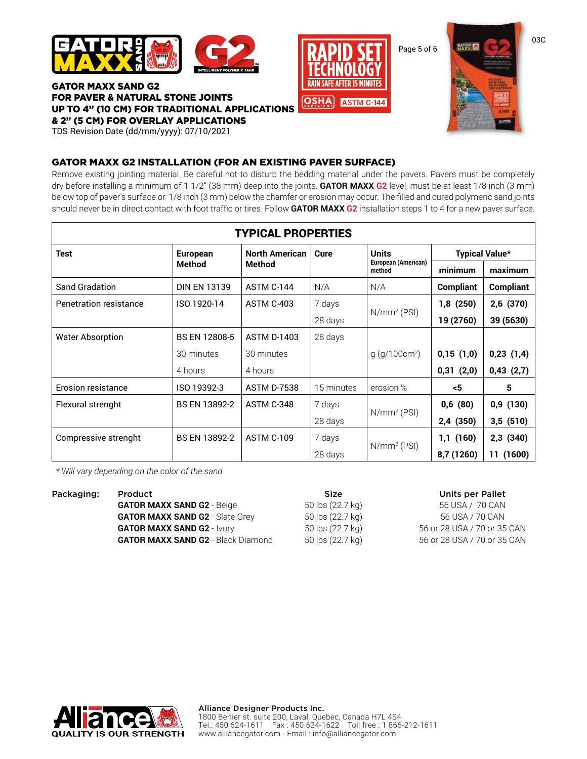

# GATOR MAXX SAND G2 FOR PAVER & NATURAL STONE JOINTS [UP TO 4" \(10 CM\) FOR TRADITIONAL APPLICATIONS](https://alliancegator.com/gator-jointing-material/gator-maxx-g2/)  & 2" (5 CM) FOR OVERLAY APPLICATIONS

TDS Revision Date (dd/mm/yyyy): 07/10/2021



Page 5 of 6



03C

## GATOR MAXX G2 INSTALLATION (FOR AN EXISTING PAVER SURFACE)

Remove existing jointing material. Be careful not to disturb the bedding material under the pavers. Pavers must be completely dry before installing a minimum of 1 1/2'' (38 mm) deep into the joints. **GATOR MAXX G2** level, must be at least 1/8 inch (3 mm) below top of paver's surface or 1/8 inch (3 mm) below the chamfer or erosion may occur. The filled and cured polymeric sand joints should never be in direct contact with foot traffic or tires. Follow **GATOR MAXX G2** installation steps 1 to 4 for a new paver surface.

| <b>TYPICAL PROPERTIES</b> |                     |                       |            |                               |                       |                  |  |  |
|---------------------------|---------------------|-----------------------|------------|-------------------------------|-----------------------|------------------|--|--|
| <b>Test</b>               | <b>European</b>     | <b>North American</b> | Cure       | <b>Units</b>                  | <b>Typical Value*</b> |                  |  |  |
|                           | Method              | Method                |            | European (American)<br>method | minimum               | maximum          |  |  |
| <b>Sand Gradation</b>     | <b>DIN EN 13139</b> | ASTM C-144            | N/A        | N/A                           | <b>Compliant</b>      | <b>Compliant</b> |  |  |
| Penetration resistance    | ISO 1920-14         | ASTM C-403            | 7 days     |                               | 1,8(250)              | 2,6 (370)        |  |  |
|                           |                     |                       | 28 days    | $N/mm^2 (PSI)$                | 19 (2760)             | 39 (5630)        |  |  |
| <b>Water Absorption</b>   | BS EN 12808-5       | <b>ASTM D-1403</b>    | 28 days    |                               |                       |                  |  |  |
|                           | 30 minutes          | 30 minutes            |            | g (g/100cm <sup>2</sup> )     | 0,15(1,0)             | 0,23(1,4)        |  |  |
|                           | 4 hours             | 4 hours               |            |                               | 0,31(2,0)             | 0,43(2,7)        |  |  |
| Erosion resistance        | ISO 19392-3         | <b>ASTM D-7538</b>    | 15 minutes | erosion %                     | <5                    | 5                |  |  |
| Flexural strenght         | BS EN 13892-2       | ASTM C-348            | 7 days     |                               | 0,6(80)               | 0,9(130)         |  |  |
|                           |                     |                       | 28 days    | $N/mm^2 (PSI)$                | 2,4(350)              | 3,5(510)         |  |  |
| Compressive strenght      | BS EN 13892-2       | ASTM C-109            | 7 days     |                               | 1,1(160)              | 2,3(340)         |  |  |
|                           |                     |                       | 28 days    | $N/mm^2 (PSI)$                | 8,7 (1260)            | 11 (1600)        |  |  |

*\* Will vary depending on the color of the sand*

| Packaging: | Product                                   | Size             | Units per Pallet            |
|------------|-------------------------------------------|------------------|-----------------------------|
|            | <b>GATOR MAXX SAND G2</b> - Beige         | 50 lbs (22.7 kg) | 56 USA / 70 CAN             |
|            | <b>GATOR MAXX SAND G2</b> - Slate Grey    | 50 lbs (22.7 kg) | 56 USA / 70 CAN             |
|            | <b>GATOR MAXX SAND G2 - Ivory</b>         | 50 lbs (22.7 kg) | 56 or 28 USA / 70 or 35 CAN |
|            | <b>GATOR MAXX SAND G2</b> - Black Diamond | 50 lbs (22.7 kg) | 56 or 28 USA / 70 or 35 CAN |